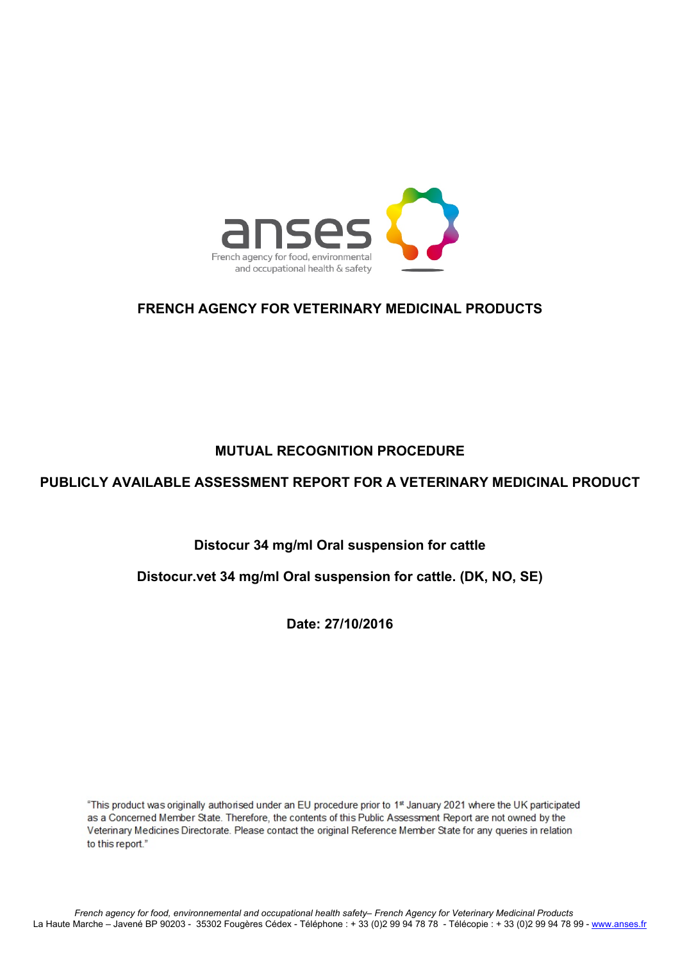

# **FRENCH AGENCY FOR VETERINARY MEDICINAL PRODUCTS**

# **MUTUAL RECOGNITION PROCEDURE**

# **PUBLICLY AVAILABLE ASSESSMENT REPORT FOR A VETERINARY MEDICINAL PRODUCT**

# **Distocur 34 mg/ml Oral suspension for cattle**

## **Distocur.vet 34 mg/ml Oral suspension for cattle. (DK, NO, SE)**

**Date: 27/10/2016**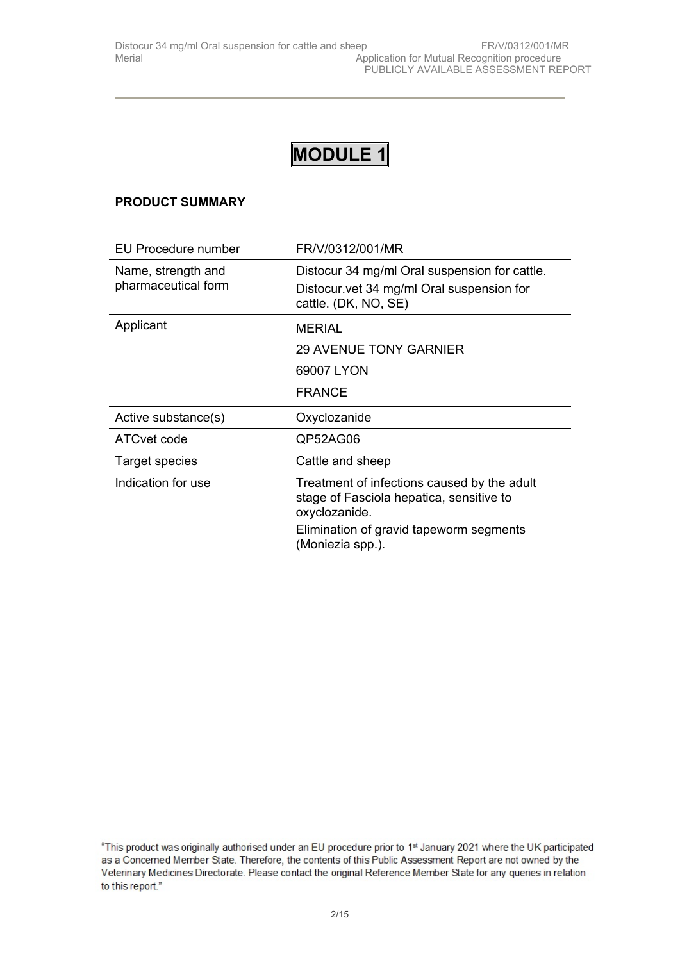## **PRODUCT SUMMARY**

| EU Procedure number                       | FR/V/0312/001/MR                                                                                                                                                        |
|-------------------------------------------|-------------------------------------------------------------------------------------------------------------------------------------------------------------------------|
| Name, strength and<br>pharmaceutical form | Distocur 34 mg/ml Oral suspension for cattle.<br>Distocur.vet 34 mg/ml Oral suspension for<br>cattle. (DK, NO, SE)                                                      |
| Applicant                                 | <b>MERIAL</b><br><b>29 AVENUE TONY GARNIER</b><br>69007 LYON<br><b>FRANCE</b>                                                                                           |
| Active substance(s)                       | Oxyclozanide                                                                                                                                                            |
| ATC vet code                              | QP52AG06                                                                                                                                                                |
| <b>Target species</b>                     | Cattle and sheep                                                                                                                                                        |
| Indication for use                        | Treatment of infections caused by the adult<br>stage of Fasciola hepatica, sensitive to<br>oxyclozanide.<br>Elimination of gravid tapeworm segments<br>(Moniezia spp.). |

<sup>&</sup>quot;This product was originally authorised under an EU procedure prior to 1st January 2021 where the UK participated as a Concerned Member State. Therefore, the contents of this Public Assessment Report are not owned by the Veterinary Medicines Directorate. Please contact the original Reference Member State for any queries in relation to this report."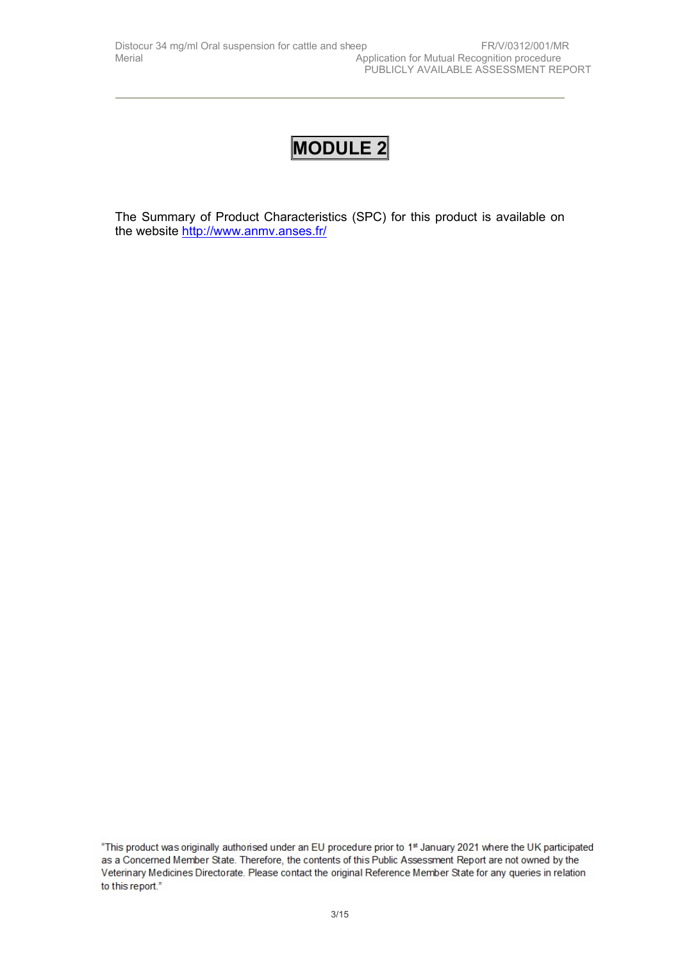The Summary of Product Characteristics (SPC) for this product is available on the website <http://www.anmv.anses.fr/>

<sup>&</sup>quot;This product was originally authorised under an EU procedure prior to 1st January 2021 where the UK participated as a Concerned Member State. Therefore, the contents of this Public Assessment Report are not owned by the Veterinary Medicines Directorate. Please contact the original Reference Member State for any queries in relation to this report."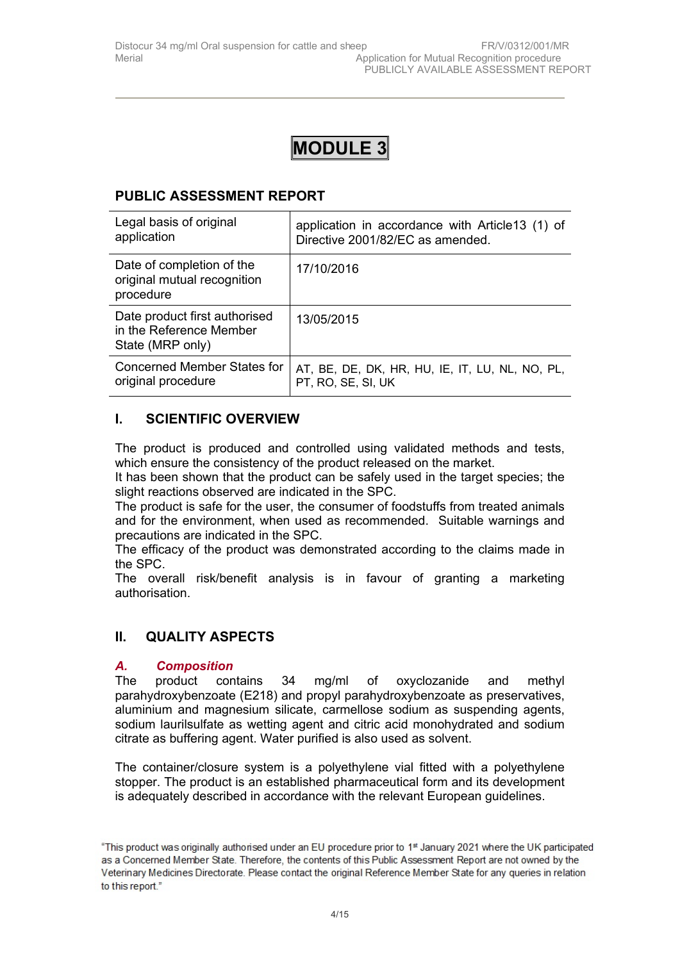# **PUBLIC ASSESSMENT REPORT**

| Legal basis of original                                                      | application in accordance with Article13 (1) of |
|------------------------------------------------------------------------------|-------------------------------------------------|
| application                                                                  | Directive 2001/82/EC as amended.                |
| Date of completion of the<br>original mutual recognition<br>procedure        | 17/10/2016                                      |
| Date product first authorised<br>in the Reference Member<br>State (MRP only) | 13/05/2015                                      |
| Concerned Member States for                                                  | AT, BE, DE, DK, HR, HU, IE, IT, LU, NL, NO, PL, |
| original procedure                                                           | PT, RO, SE, SI, UK                              |

# **I. SCIENTIFIC OVERVIEW**

The product is produced and controlled using validated methods and tests, which ensure the consistency of the product released on the market.

It has been shown that the product can be safely used in the target species; the slight reactions observed are indicated in the SPC.

The product is safe for the user, the consumer of foodstuffs from treated animals and for the environment, when used as recommended. Suitable warnings and precautions are indicated in the SPC.

The efficacy of the product was demonstrated according to the claims made in the SPC.

The overall risk/benefit analysis is in favour of granting a marketing authorisation.

## **II. QUALITY ASPECTS**

## *A. Composition*

The product contains 34 mg/ml of oxyclozanide and methyl parahydroxybenzoate (E218) and propyl parahydroxybenzoate as preservatives, aluminium and magnesium silicate, carmellose sodium as suspending agents, sodium laurilsulfate as wetting agent and citric acid monohydrated and sodium citrate as buffering agent. Water purified is also used as solvent.

The container/closure system is a polyethylene vial fitted with a polyethylene stopper. The product is an established pharmaceutical form and its development is adequately described in accordance with the relevant European guidelines.

<sup>&</sup>quot;This product was originally authorised under an EU procedure prior to 1<sup>st</sup> January 2021 where the UK participated as a Concerned Member State. Therefore, the contents of this Public Assessment Report are not owned by the Veterinary Medicines Directorate. Please contact the original Reference Member State for any queries in relation to this report."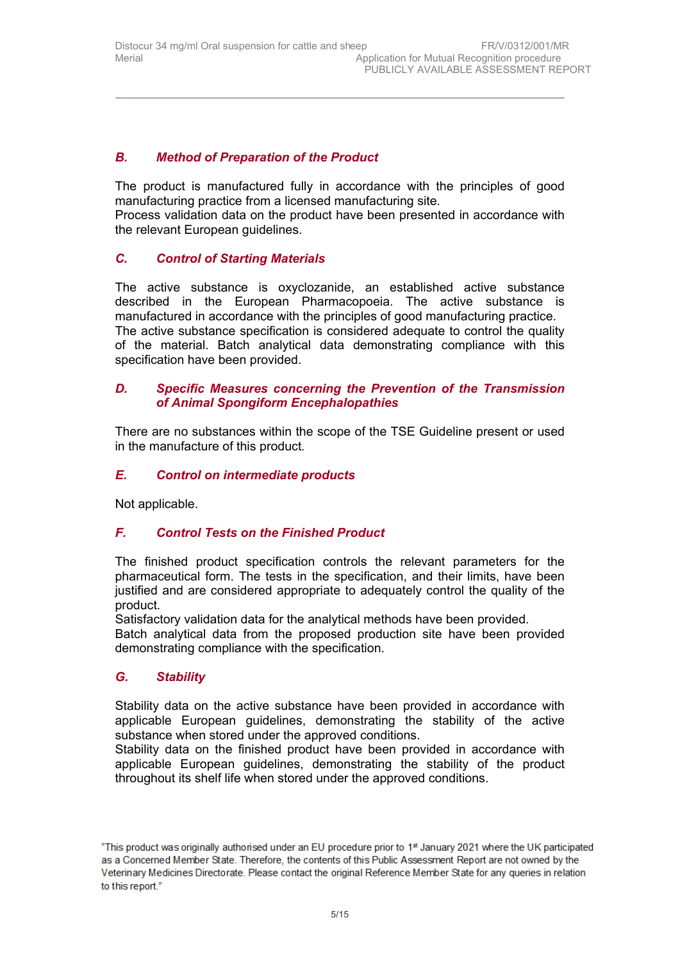## *B. Method of Preparation of the Product*

The product is manufactured fully in accordance with the principles of good manufacturing practice from a licensed manufacturing site*.*

Process validation data on the product have been presented in accordance with the relevant European guidelines.

# *C. Control of Starting Materials*

The active substance is oxyclozanide, an established active substance described in the European Pharmacopoeia. The active substance is manufactured in accordance with the principles of good manufacturing practice. The active substance specification is considered adequate to control the quality of the material. Batch analytical data demonstrating compliance with this specification have been provided.

## *D. Specific Measures concerning the Prevention of the Transmission of Animal Spongiform Encephalopathies*

There are no substances within the scope of the TSE Guideline present or used in the manufacture of this product*.*

## *E. Control on intermediate products*

Not applicable.

## *F. Control Tests on the Finished Product*

The finished product specification controls the relevant parameters for the pharmaceutical form. The tests in the specification, and their limits, have been justified and are considered appropriate to adequately control the quality of the product.

Satisfactory validation data for the analytical methods have been provided. Batch analytical data from the proposed production site have been provided demonstrating compliance with the specification.

## *G. Stability*

Stability data on the active substance have been provided in accordance with applicable European guidelines, demonstrating the stability of the active substance when stored under the approved conditions.

Stability data on the finished product have been provided in accordance with applicable European guidelines, demonstrating the stability of the product throughout its shelf life when stored under the approved conditions.

<sup>&</sup>quot;This product was originally authorised under an EU procedure prior to 1<sup>st</sup> January 2021 where the UK participated as a Concerned Member State. Therefore, the contents of this Public Assessment Report are not owned by the Veterinary Medicines Directorate. Please contact the original Reference Member State for any queries in relation to this report."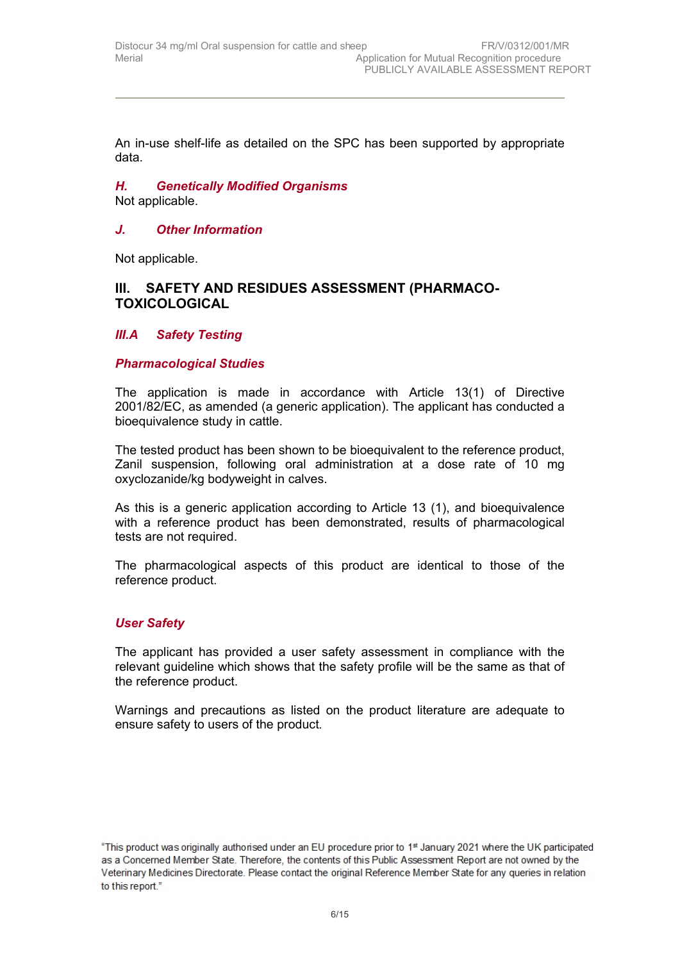An in-use shelf-life as detailed on the SPC has been supported by appropriate data.

# *H. Genetically Modified Organisms*

Not applicable.

## *J. Other Information*

Not applicable.

## **III. SAFETY AND RESIDUES ASSESSMENT (PHARMACO-TOXICOLOGICAL**

## *III.A Safety Testing*

#### *Pharmacological Studies*

The application is made in accordance with Article 13(1) of Directive 2001/82/EC, as amended (a generic application). The applicant has conducted a bioequivalence study in cattle.

The tested product has been shown to be bioequivalent to the reference product, Zanil suspension, following oral administration at a dose rate of 10 mg oxyclozanide/kg bodyweight in calves.

As this is a generic application according to Article 13 (1), and bioequivalence with a reference product has been demonstrated, results of pharmacological tests are not required.

The pharmacological aspects of this product are identical to those of the reference product.

## *User Safety*

The applicant has provided a user safety assessment in compliance with the relevant guideline which shows that the safety profile will be the same as that of the reference product.

Warnings and precautions as listed on the product literature are adequate to ensure safety to users of the product.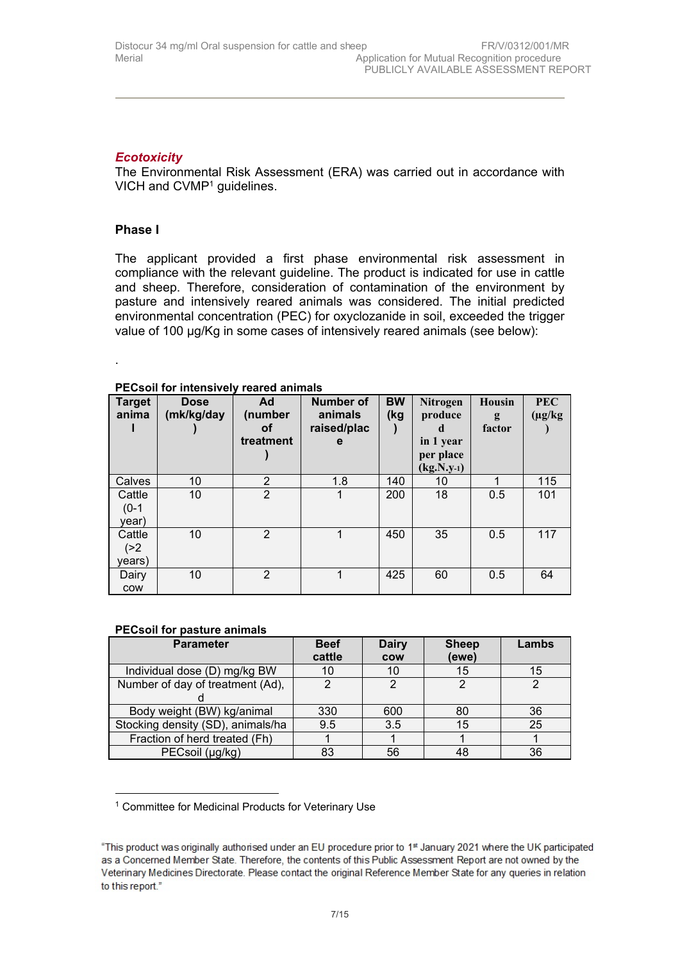## *Ecotoxicity*

The Environmental Risk Assessment (ERA) was carried out in accordance with VICH and CVMP<sup>1</sup> guidelines.

### **Phase I**

.

The applicant provided a first phase environmental risk assessment in compliance with the relevant guideline. The product is indicated for use in cattle and sheep. Therefore, consideration of contamination of the environment by pasture and intensively reared animals was considered. The initial predicted environmental concentration (PEC) for oxyclozanide in soil, exceeded the trigger value of 100 µg/Kg in some cases of intensively reared animals (see below):

| <b>Target</b><br>anima     | <b>Dose</b><br>(mk/kg/day | Ad<br>(number<br>οf<br>treatment | <b>Number of</b><br>animals<br>raised/plac<br>e | <b>BW</b><br>(kg | Nitrogen<br>produce<br>d<br>in 1 year<br>per place<br>$(kg.N.y-1)$ | Housin<br>g<br>factor | <b>PEC</b><br>$(\mu g/kg)$ |
|----------------------------|---------------------------|----------------------------------|-------------------------------------------------|------------------|--------------------------------------------------------------------|-----------------------|----------------------------|
| Calves                     | 10                        | 2                                | 1.8                                             | 140              | 10                                                                 | 1                     | 115                        |
| Cattle<br>$(0-1)$<br>year) | 10                        | $\overline{2}$                   |                                                 | 200              | 18                                                                 | 0.5                   | 101                        |
| Cattle<br>( > 2)<br>years) | 10                        | 2                                | 1                                               | 450              | 35                                                                 | 0.5                   | 117                        |
| Dairy<br><b>COW</b>        | 10                        | 2                                |                                                 | 425              | 60                                                                 | 0.5                   | 64                         |

#### **PECsoil for intensively reared animals**

#### **PECsoil for pasture animals**

| <b>Parameter</b>                  | <b>Beef</b><br>cattle | <b>Dairy</b><br><b>COW</b> | <b>Sheep</b><br>(ewe) | Lambs |
|-----------------------------------|-----------------------|----------------------------|-----------------------|-------|
| Individual dose (D) mg/kg BW      | 10                    | 10                         | 15                    | 15    |
| Number of day of treatment (Ad),  | ◠                     | C                          | っ                     |       |
|                                   |                       |                            |                       |       |
| Body weight (BW) kg/animal        | 330                   | 600                        | 80                    | 36    |
| Stocking density (SD), animals/ha | 9.5                   | 3.5                        | 15                    | 25    |
| Fraction of herd treated (Fh)     |                       |                            |                       |       |
| PECsoil (µg/kg)                   | 83                    | 56                         | 48                    | 36    |

<sup>1</sup> Committee for Medicinal Products for Veterinary Use

<sup>&</sup>quot;This product was originally authorised under an EU procedure prior to 1st January 2021 where the UK participated as a Concerned Member State. Therefore, the contents of this Public Assessment Report are not owned by the Veterinary Medicines Directorate. Please contact the original Reference Member State for any queries in relation to this report."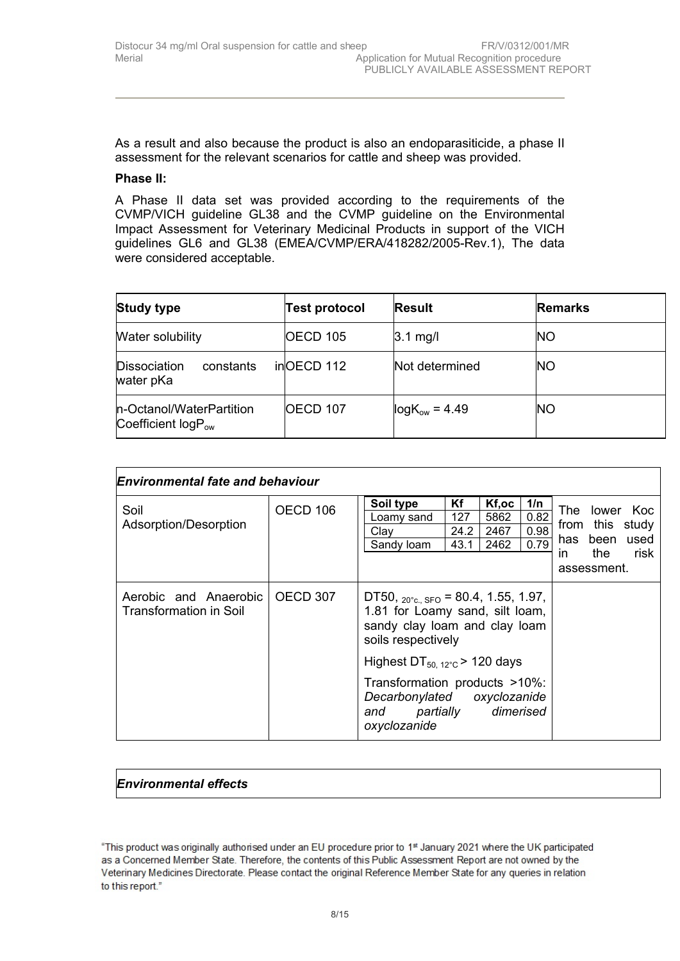As a result and also because the product is also an endoparasiticide, a phase II assessment for the relevant scenarios for cattle and sheep was provided.

#### **Phase II:**

A Phase II data set was provided according to the requirements of the CVMP/VICH guideline GL38 and the CVMP guideline on the Environmental Impact Assessment for Veterinary Medicinal Products in support of the VICH guidelines GL6 and GL38 (EMEA/CVMP/ERA/418282/2005-Rev.1), The data were considered acceptable.

| <b>Study type</b>                                   | <b>Test protocol</b> | <b>Result</b>      | <b>Remarks</b> |
|-----------------------------------------------------|----------------------|--------------------|----------------|
| <b>Water solubility</b>                             | OECD 105             | $3.1$ mg/l         | <b>NO</b>      |
| Dissociation<br>constants<br>water pKa              | inOECD 112           | Not determined     | <b>INO</b>     |
| n-Octanol/WaterPartition<br>Coefficient $logP_{ow}$ | OECD 107             | $logK_{ow} = 4.49$ | <b>NO</b>      |

| Environmental fate and behaviour                |          |                                                                                                                                           |                           |                               |                             |            |                            |                                                  |
|-------------------------------------------------|----------|-------------------------------------------------------------------------------------------------------------------------------------------|---------------------------|-------------------------------|-----------------------------|------------|----------------------------|--------------------------------------------------|
| Soil<br>Adsorption/Desorption                   | OECD 106 | Soil type<br>Loamy sand<br>Clay<br>Sandy loam                                                                                             | Κf<br>127<br>24.2<br>43.1 | Kf,oc<br>5862<br>2467<br>2462 | 1/n<br>0.82<br>0.98<br>0.79 | has<br>in. | been<br>the<br>assessment. | The lower Koc<br>from this study<br>used<br>risk |
| Aerobic and Anaerobic<br>Transformation in Soil | OECD 307 | DT50, $_{20^{\circ}c.}$ sfo = 80.4, 1.55, 1.97,<br>1.81 for Loamy sand, silt loam,<br>sandy clay loam and clay loam<br>soils respectively |                           |                               |                             |            |                            |                                                  |
|                                                 |          | Highest $DT_{50, 12^{\circ}C}$ > 120 days                                                                                                 |                           |                               |                             |            |                            |                                                  |
|                                                 |          | Transformation products >10%:<br>Decarbonylated oxyclozanide<br>and partially dimerised<br>oxyclozanide                                   |                           |                               |                             |            |                            |                                                  |

## *Environmental effects*

<sup>&</sup>quot;This product was originally authorised under an EU procedure prior to 1st January 2021 where the UK participated as a Concerned Member State. Therefore, the contents of this Public Assessment Report are not owned by the Veterinary Medicines Directorate. Please contact the original Reference Member State for any queries in relation to this report."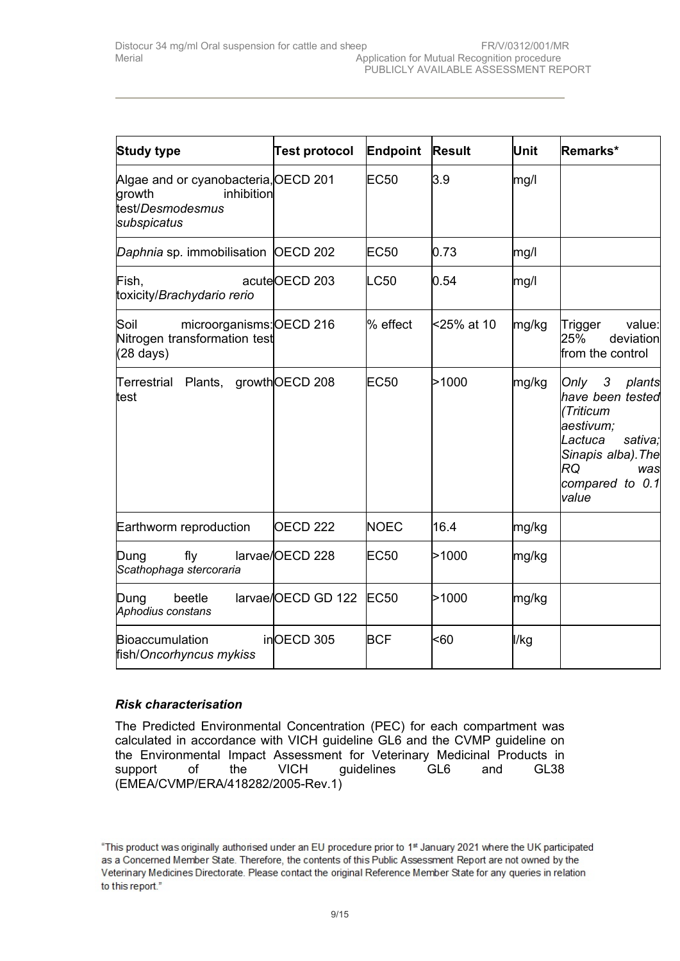| <b>Study type</b>                                                                               | <b>Test protocol</b> | Endpoint   | <b>Result</b> | Unit  | Remarks*                                                                                                                                          |
|-------------------------------------------------------------------------------------------------|----------------------|------------|---------------|-------|---------------------------------------------------------------------------------------------------------------------------------------------------|
| Algae and or cyanobacteria, OECD 201<br>inhibition<br>growth<br>test/Desmodesmus<br>subspicatus |                      | EC50       | 3.9           | mg/l  |                                                                                                                                                   |
| Daphnia sp. immobilisation OECD 202                                                             |                      | EC50       | 0.73          | mg/l  |                                                                                                                                                   |
| Fish,<br>toxicity/Brachydario rerio                                                             | acuteOECD 203        | LC50       | 0.54          | mg/l  |                                                                                                                                                   |
| Soil<br>microorganisms: OECD 216<br>Nitrogen transformation test<br>$(28 \text{ days})$         |                      | l% effect  | <25% at 10    | mg/kg | value:<br>Trigger<br>25%<br>deviation<br>from the control                                                                                         |
| Terrestrial Plants,<br>test                                                                     | growth OECD 208      | EC50       | >1000         | mg/kg | Only 3 plants<br>have been tested<br>(Triticum<br>aestivum;<br>Lactuca<br>sativa;<br>Sinapis alba). The<br>RQ<br>was<br>compared to 0.1<br>lvalue |
| Earthworm reproduction                                                                          | <b>OECD 222</b>      | NOEC       | 16.4          | mg/kg |                                                                                                                                                   |
| fly<br>Dung<br>Scathophaga stercoraria                                                          | larvae/OECD 228      | EC50       | >1000         | mg/kg |                                                                                                                                                   |
| beetle<br>Dung<br>Aphodius constans                                                             | larvae/OECD GD 122   | EC50       | >1000         | mg/kg |                                                                                                                                                   |
| Bioaccumulation<br>fish/Oncorhyncus mykiss                                                      | inOECD 305           | <b>BCF</b> | <60           | l/kg  |                                                                                                                                                   |

## *Risk characterisation*

The Predicted Environmental Concentration (PEC) for each compartment was calculated in accordance with VICH guideline GL6 and the CVMP guideline on the Environmental Impact Assessment for Veterinary Medicinal Products in support of the VICH guidelines GL6 and GL38 (EMEA/CVMP/ERA/418282/2005-Rev.1)

<sup>&</sup>quot;This product was originally authorised under an EU procedure prior to 1st January 2021 where the UK participated as a Concerned Member State. Therefore, the contents of this Public Assessment Report are not owned by the Veterinary Medicines Directorate. Please contact the original Reference Member State for any queries in relation to this report."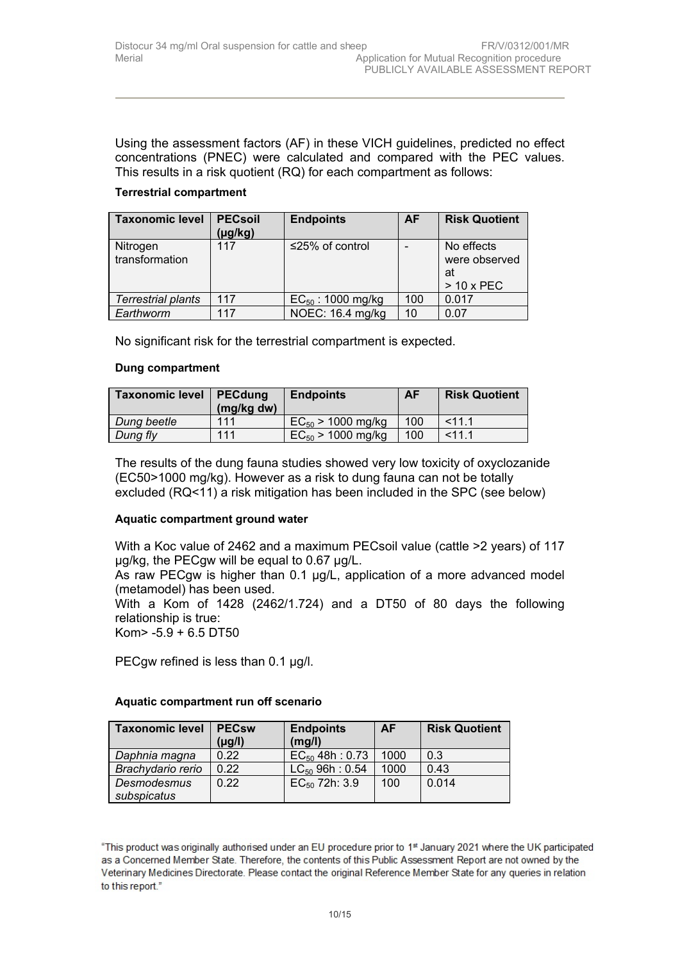Using the assessment factors (AF) in these VICH guidelines, predicted no effect concentrations (PNEC) were calculated and compared with the PEC values. This results in a risk quotient (RQ) for each compartment as follows:

### **Terrestrial compartment**

| <b>Taxonomic level</b> | <b>PECsoil</b><br>$(\mu g/kg)$ | <b>Endpoints</b>       | <b>AF</b> | <b>Risk Quotient</b> |
|------------------------|--------------------------------|------------------------|-----------|----------------------|
| Nitrogen               | 117                            | ≤25% of control        |           | No effects           |
| transformation         |                                |                        |           | were observed        |
|                        |                                |                        |           | at                   |
|                        |                                |                        |           | $> 10x$ PEC          |
| Terrestrial plants     | 117                            | $EC_{50}$ : 1000 mg/kg | 100       | 0.017                |
| Earthworm              | 117                            | NOEC: 16.4 mg/kg       | 10        | 0.07                 |

No significant risk for the terrestrial compartment is expected.

#### **Dung compartment**

| <b>Taxonomic level</b> | $\vert$ PECdung<br>(mg/kg dw) | <b>Endpoints</b>       | <b>AF</b> | <b>Risk Quotient</b> |
|------------------------|-------------------------------|------------------------|-----------|----------------------|
| Dung beetle            | 111                           | $EC_{50}$ > 1000 mg/kg | 100       | < 11.1               |
| Dung fly               | 111                           | $EC_{50}$ > 1000 mg/kg | 100       | < 11.1               |

The results of the dung fauna studies showed very low toxicity of oxyclozanide (EC50>1000 mg/kg). However as a risk to dung fauna can not be totally excluded (RQ<11) a risk mitigation has been included in the SPC (see below)

## **Aquatic compartment ground water**

With a Koc value of 2462 and a maximum PECsoil value (cattle >2 years) of 117 µg/kg, the PECgw will be equal to 0.67 µg/L.

As raw PECgw is higher than 0.1 µg/L, application of a more advanced model (metamodel) has been used.

With a Kom of 1428 (2462/1.724) and a DT50 of 80 days the following relationship is true:

Kom> -5.9 + 6.5 DT50

PECgw refined is less than 0.1 µg/l.

#### **Aquatic compartment run off scenario**

| <b>Taxonomic level</b>     | <b>PECsw</b><br>$(\mu g/l)$ | <b>Endpoints</b><br>(mg/l) | AF   | <b>Risk Quotient</b> |
|----------------------------|-----------------------------|----------------------------|------|----------------------|
| Daphnia magna              | 0.22                        | $EC_{50}$ 48h : 0.73       | 1000 | 0.3                  |
| Brachydario rerio          | 0.22                        | $LC_{50}$ 96h : 0.54       | 1000 | 0.43                 |
| Desmodesmus<br>subspicatus | 0.22                        | $EC_{50}$ 72h: 3.9         | 100  | 0.014                |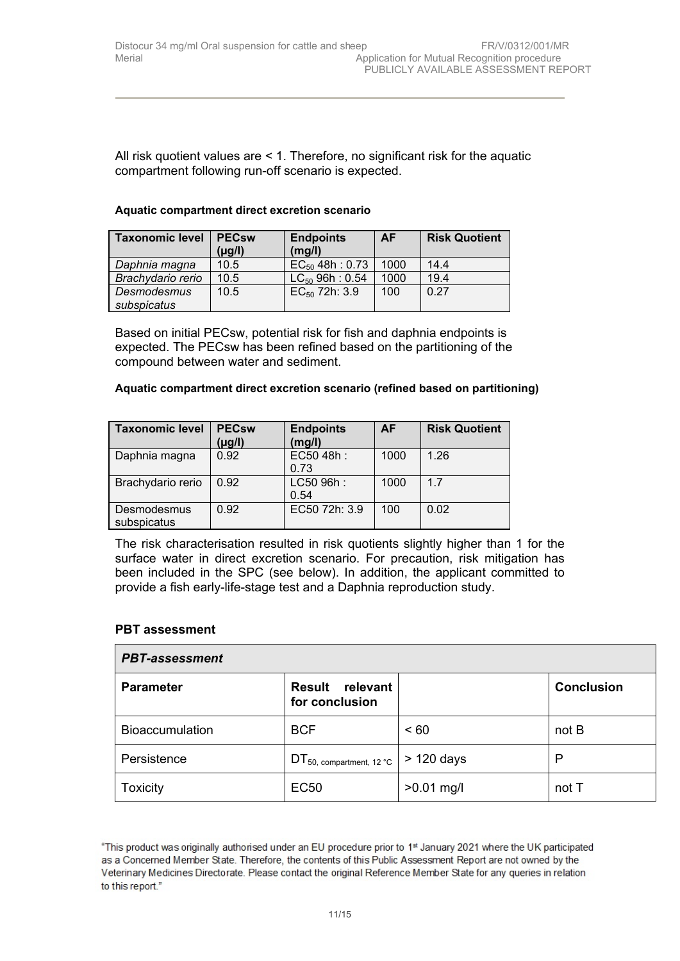All risk quotient values are < 1. Therefore, no significant risk for the aquatic compartment following run-off scenario is expected.

#### **Aquatic compartment direct excretion scenario**

| <b>Taxonomic level</b> | <b>PECsw</b><br>(µg/l) | <b>Endpoints</b><br>(mg/l) | <b>AF</b> | <b>Risk Quotient</b> |
|------------------------|------------------------|----------------------------|-----------|----------------------|
| Daphnia magna          | 10.5                   | $EC_{50}$ 48h : 0.73       | 1000      | 14.4                 |
| Brachydario rerio      | 10.5                   | $LC_{50}$ 96h : 0.54       | 1000      | 19.4                 |
| Desmodesmus            | 10.5                   | $EC_{50}$ 72h: 3.9         | 100       | 0.27                 |
| subspicatus            |                        |                            |           |                      |

Based on initial PECsw, potential risk for fish and daphnia endpoints is expected. The PECsw has been refined based on the partitioning of the compound between water and sediment.

#### **Aquatic compartment direct excretion scenario (refined based on partitioning)**

| <b>Taxonomic level</b>     | <b>PECsw</b><br>$(\mu g/l)$ | <b>Endpoints</b><br>(mg/l) | <b>AF</b> | <b>Risk Quotient</b> |
|----------------------------|-----------------------------|----------------------------|-----------|----------------------|
| Daphnia magna              | 0.92                        | EC50 48h:<br>0.73          | 1000      | 1.26                 |
| Brachydario rerio          | 0.92                        | LC50 96h:<br>0.54          | 1000      | 1.7                  |
| Desmodesmus<br>subspicatus | 0.92                        | EC50 72h: 3.9              | 100       | 0.02                 |

The risk characterisation resulted in risk quotients slightly higher than 1 for the surface water in direct excretion scenario. For precaution, risk mitigation has been included in the SPC (see below). In addition, the applicant committed to provide a fish early-life-stage test and a Daphnia reproduction study.

#### **PBT assessment**

| <b>PBT-assessment</b>  |                                              |              |                   |  |
|------------------------|----------------------------------------------|--------------|-------------------|--|
| <b>Parameter</b>       | <b>Result</b><br>relevant<br>for conclusion  |              | <b>Conclusion</b> |  |
| <b>Bioaccumulation</b> | <b>BCF</b>                                   | ~< 60        | not B             |  |
| Persistence            | $DT_{50, \text{ compartment}, 12\text{ °C}}$ | > 120 days   | P                 |  |
| Toxicity               | <b>EC50</b>                                  | $>0.01$ mg/l | not T             |  |

<sup>&</sup>quot;This product was originally authorised under an EU procedure prior to 1st January 2021 where the UK participated as a Concerned Member State. Therefore, the contents of this Public Assessment Report are not owned by the Veterinary Medicines Directorate. Please contact the original Reference Member State for any queries in relation to this report."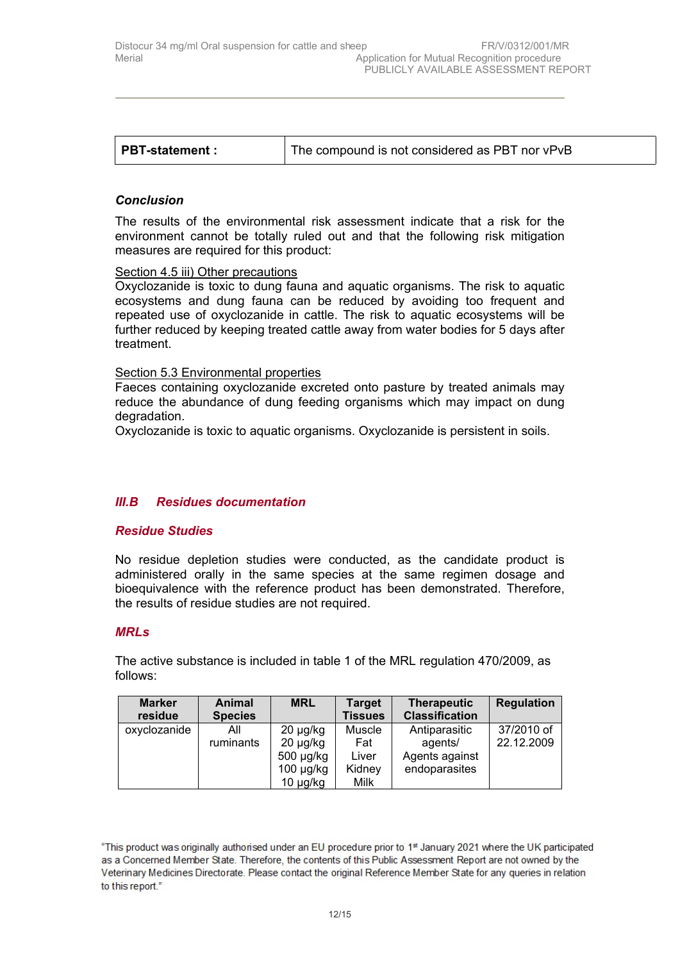|  | The compound is not considered as PBT nor vPvB | PBT-statement : |
|--|------------------------------------------------|-----------------|
|--|------------------------------------------------|-----------------|

#### *Conclusion*

The results of the environmental risk assessment indicate that a risk for the environment cannot be totally ruled out and that the following risk mitigation measures are required for this product:

#### Section 4.5 iii) Other precautions

Oxyclozanide is toxic to dung fauna and aquatic organisms. The risk to aquatic ecosystems and dung fauna can be reduced by avoiding too frequent and repeated use of oxyclozanide in cattle. The risk to aquatic ecosystems will be further reduced by keeping treated cattle away from water bodies for 5 days after treatment.

#### Section 5.3 Environmental properties

Faeces containing oxyclozanide excreted onto pasture by treated animals may reduce the abundance of dung feeding organisms which may impact on dung degradation.

Oxyclozanide is toxic to aquatic organisms. Oxyclozanide is persistent in soils.

## *III.B Residues documentation*

#### *Residue Studies*

No residue depletion studies were conducted, as the candidate product is administered orally in the same species at the same regimen dosage and bioequivalence with the reference product has been demonstrated. Therefore, the results of residue studies are not required.

#### *MRLs*

The active substance is included in table 1 of the MRL regulation 470/2009, as follows:

| <b>Marker</b> | Animal         | <b>MRL</b>     | <b>Target</b>  | <b>Therapeutic</b>    | Regulation |
|---------------|----------------|----------------|----------------|-----------------------|------------|
| residue       | <b>Species</b> |                | <b>Tissues</b> | <b>Classification</b> |            |
| oxyclozanide  | All            | $20 \mu g/kg$  | Muscle         | Antiparasitic         | 37/2010 of |
|               | ruminants      | $20 \mu g/kg$  | Fat            | agents/               | 22.12.2009 |
|               |                | 500 µg/kg      | Liver          | Agents against        |            |
|               |                | $100 \mu g/kg$ | Kidney         | endoparasites         |            |
|               |                | $10 \mu g/kg$  | Milk           |                       |            |

<sup>&</sup>quot;This product was originally authorised under an EU procedure prior to 1<sup>st</sup> January 2021 where the UK participated as a Concerned Member State. Therefore, the contents of this Public Assessment Report are not owned by the Veterinary Medicines Directorate. Please contact the original Reference Member State for any queries in relation to this report."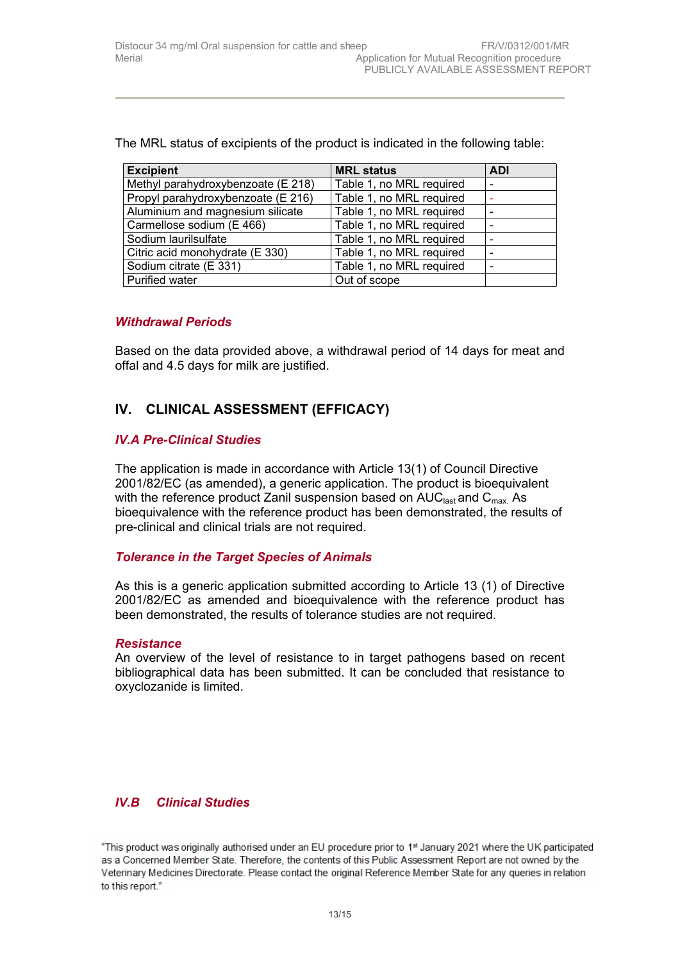| <b>Excipient</b>                   | <b>MRL status</b>        | <b>ADI</b> |
|------------------------------------|--------------------------|------------|
| Methyl parahydroxybenzoate (E 218) | Table 1, no MRL required |            |
| Propyl parahydroxybenzoate (E 216) | Table 1, no MRL required |            |
| Aluminium and magnesium silicate   | Table 1, no MRL required |            |
| Carmellose sodium (E 466)          | Table 1, no MRL required |            |
| Sodium laurilsulfate               | Table 1, no MRL required |            |
| Citric acid monohydrate (E 330)    | Table 1, no MRL required |            |
| Sodium citrate (E 331)             | Table 1, no MRL required |            |
| <b>Purified water</b>              | Out of scope             |            |

The MRL status of excipients of the product is indicated in the following table:

## *Withdrawal Periods*

Based on the data provided above, a withdrawal period of 14 days for meat and offal and 4.5 days for milk are justified.

# **IV. CLINICAL ASSESSMENT (EFFICACY)**

#### *IV.A Pre-Clinical Studies*

The application is made in accordance with Article 13(1) of Council Directive 2001/82/EC (as amended), a generic application. The product is bioequivalent with the reference product Zanil suspension based on  $AUC<sub>last</sub>$  and  $C<sub>max</sub>$ . As bioequivalence with the reference product has been demonstrated, the results of pre-clinical and clinical trials are not required.

#### *Tolerance in the Target Species of Animals*

As this is a generic application submitted according to Article 13 (1) of Directive 2001/82/EC as amended and bioequivalence with the reference product has been demonstrated, the results of tolerance studies are not required.

#### *Resistance*

An overview of the level of resistance to in target pathogens based on recent bibliographical data has been submitted. It can be concluded that resistance to oxyclozanide is limited.

## *IV.B Clinical Studies*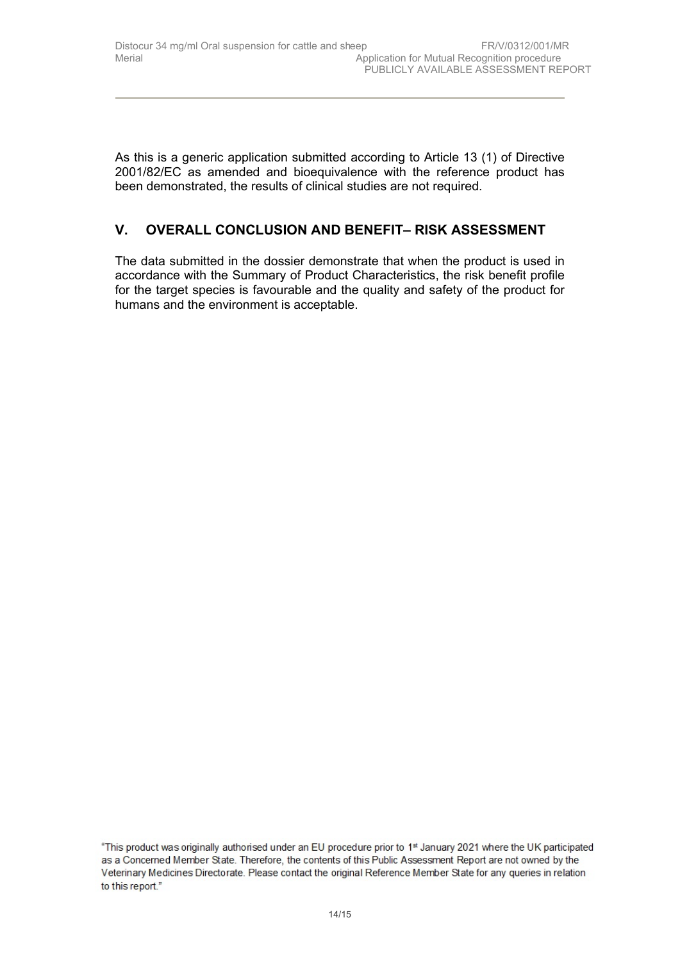As this is a generic application submitted according to Article 13 (1) of Directive 2001/82/EC as amended and bioequivalence with the reference product has been demonstrated, the results of clinical studies are not required.

# **V. OVERALL CONCLUSION AND BENEFIT– RISK ASSESSMENT**

The data submitted in the dossier demonstrate that when the product is used in accordance with the Summary of Product Characteristics, the risk benefit profile for the target species is favourable and the quality and safety of the product for humans and the environment is acceptable.

<sup>&</sup>quot;This product was originally authorised under an EU procedure prior to 1st January 2021 where the UK participated as a Concerned Member State. Therefore, the contents of this Public Assessment Report are not owned by the Veterinary Medicines Directorate. Please contact the original Reference Member State for any queries in relation to this report."